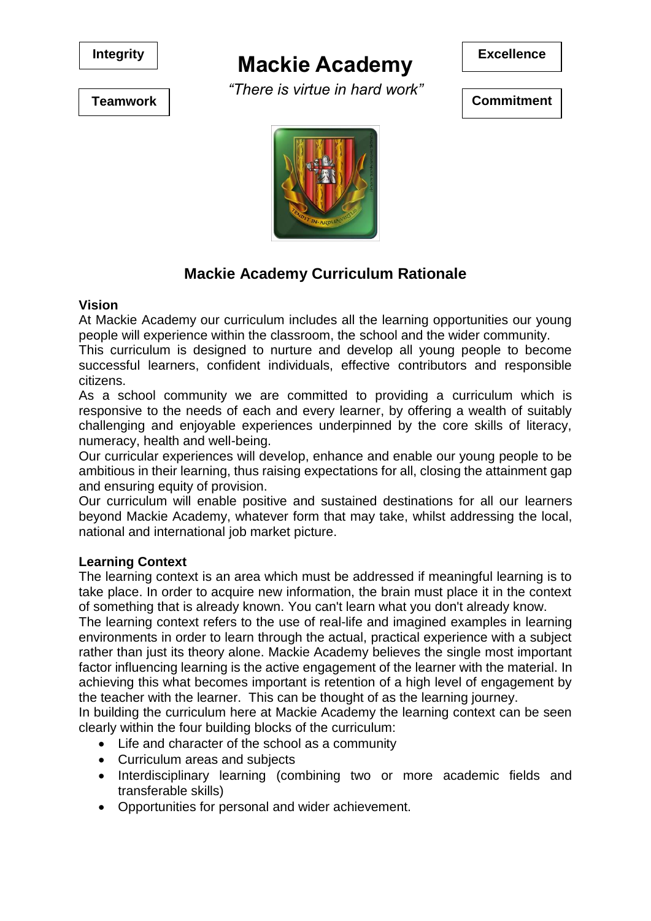

# **Mackie Academy** Excellence

*"There is virtue in hard work"*



**Teamwork Commitment** 



### **Mackie Academy Curriculum Rationale**

#### **Vision**

At Mackie Academy our curriculum includes all the learning opportunities our young people will experience within the classroom, the school and the wider community.

This curriculum is designed to nurture and develop all young people to become successful learners, confident individuals, effective contributors and responsible citizens.

As a school community we are committed to providing a curriculum which is responsive to the needs of each and every learner, by offering a wealth of suitably challenging and enjoyable experiences underpinned by the core skills of literacy, numeracy, health and well-being.

Our curricular experiences will develop, enhance and enable our young people to be ambitious in their learning, thus raising expectations for all, closing the attainment gap and ensuring equity of provision.

Our curriculum will enable positive and sustained destinations for all our learners beyond Mackie Academy, whatever form that may take, whilst addressing the local, national and international job market picture.

### **Learning Context**

The learning context is an area which must be addressed if meaningful learning is to take place. In order to acquire new information, the brain must place it in the context of something that is already known. You can't learn what you don't already know.

The learning context refers to the use of real-life and imagined examples in learning environments in order to learn through the actual, practical experience with a subject rather than just its theory alone. Mackie Academy believes the single most important factor influencing learning is the active engagement of the learner with the material. In achieving this what becomes important is retention of a high level of engagement by the teacher with the learner. This can be thought of as the learning journey.

In building the curriculum here at Mackie Academy the learning context can be seen clearly within the four building blocks of the curriculum:

- Life and character of the school as a community
- Curriculum areas and subjects
- Interdisciplinary learning (combining two or more academic fields and transferable skills)
- Opportunities for personal and wider achievement.